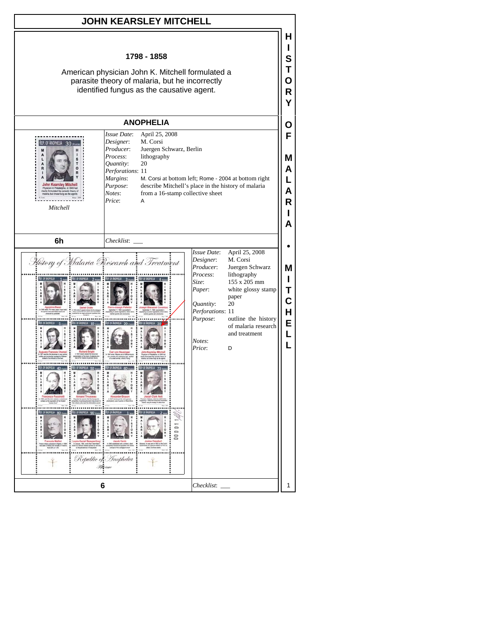